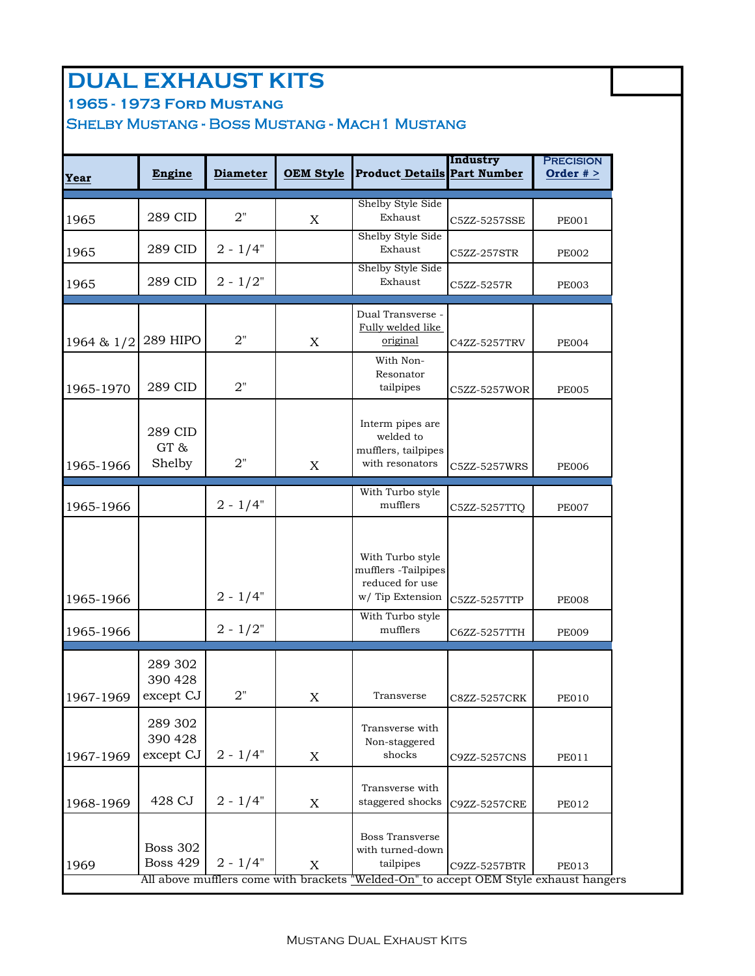### **DUAL EXHAUST KITS**

**1965 - 1973 Ford Mustang** 

#### Shelby Mustang - Boss Mustang - Mach1 Mustang

| Year       | Engine                             | <b>Diameter</b> | <b>OEM Style</b> | <b>Product Details Part Number</b>                                                                                                               | Industry     | <b>PRECISION</b><br>Order $# >$ |
|------------|------------------------------------|-----------------|------------------|--------------------------------------------------------------------------------------------------------------------------------------------------|--------------|---------------------------------|
| 1965       | 289 CID                            | 2"              | $\mathbf X$      | Shelby Style Side<br>Exhaust                                                                                                                     | C5ZZ-5257SSE | <b>PE001</b>                    |
| 1965       | 289 CID                            | $2 - 1/4"$      |                  | Shelby Style Side<br>Exhaust                                                                                                                     | C5ZZ-257STR  | <b>PE002</b>                    |
| 1965       | 289 CID                            | $2 - 1/2"$      |                  | Shelby Style Side<br>Exhaust                                                                                                                     | C5ZZ-5257R   | <b>PE003</b>                    |
| 1964 & 1/2 | 289 HIPO                           | 2"              | X                | Dual Transverse -<br>Fully welded like<br>original                                                                                               | C4ZZ-5257TRV | <b>PE004</b>                    |
| 1965-1970  | 289 CID                            | 2"              |                  | With Non-<br>Resonator<br>tailpipes                                                                                                              | C5ZZ-5257WOR | <b>PE005</b>                    |
| 1965-1966  | 289 CID<br>GT&<br>Shelby           | 2"              | $\mathbf X$      | Interm pipes are<br>welded to<br>mufflers, tailpipes<br>with resonators                                                                          | C5ZZ-5257WRS | <b>PE006</b>                    |
| 1965-1966  |                                    | $2 - 1/4"$      |                  | With Turbo style<br>mufflers                                                                                                                     | C5ZZ-5257TTQ | <b>PE007</b>                    |
| 1965-1966  |                                    | $2 - 1/4"$      |                  | With Turbo style<br>mufflers -Tailpipes<br>reduced for use<br>w/Tip Extension                                                                    | C5ZZ-5257TTP | <b>PE008</b>                    |
| 1965-1966  |                                    | $2 - 1/2"$      |                  | With Turbo style<br>mufflers                                                                                                                     | C6ZZ-5257TTH | <b>PE009</b>                    |
| 1967-1969  | 289 302<br>390 428<br>except CJ    | 2"              | X                | Transverse                                                                                                                                       | C8ZZ-5257CRK | <b>PE010</b>                    |
| 1967-1969  | 289 302<br>390 428<br>except CJ    | $2 - 1/4"$      | $\mathbf X$      | Transverse with<br>Non-staggered<br>shocks                                                                                                       | C9ZZ-5257CNS | <b>PE011</b>                    |
| 1968-1969  | 428 CJ                             | $2 - 1/4"$      | X                | Transverse with<br>staggered shocks                                                                                                              | C9ZZ-5257CRE | <b>PE012</b>                    |
| 1969       | <b>Boss 302</b><br><b>Boss 429</b> | $2 - 1/4"$      | $\mathbf X$      | <b>Boss Transverse</b><br>with turned-down<br>tailpipes<br>All above mufflers come with brackets "Welded-On" to accept OEM Style exhaust hangers | C9ZZ-5257BTR | <b>PE013</b>                    |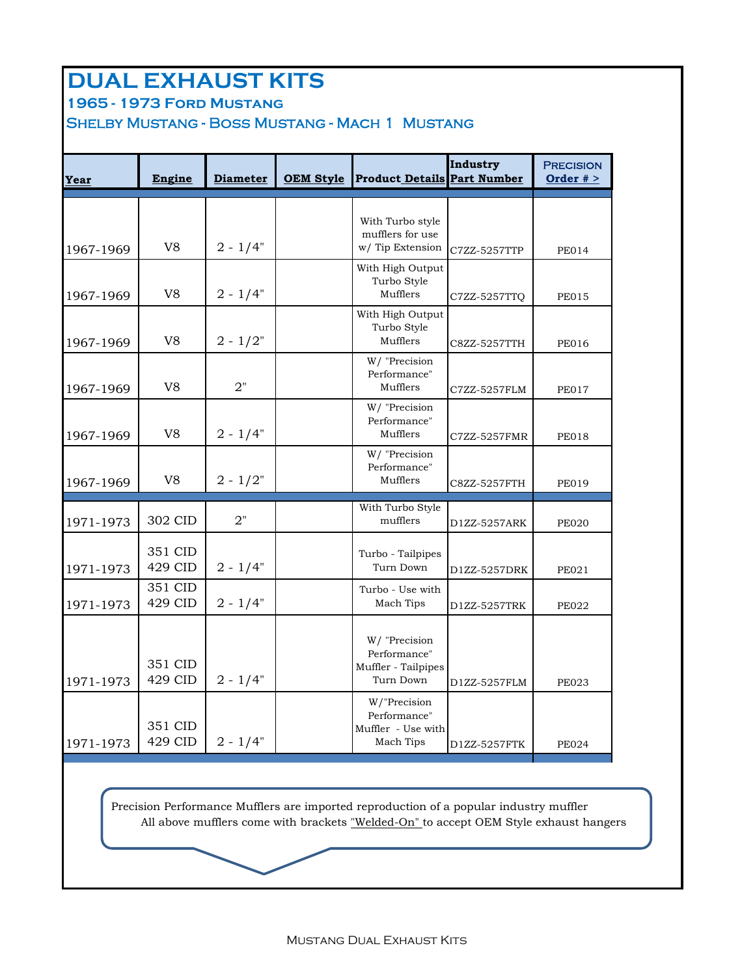### **DUAL EXHAUST KITS**

**1965 - 1973 Ford Mustang** 

Shelby Mustang - Boss Mustang - Mach 1 Mustang

| Year      | Engine             | <b>Diameter</b> | <b>OEM Style</b> | <b>Product Details Part Number</b>                                | Industry     | <b>PRECISION</b><br>Order $# >$ |
|-----------|--------------------|-----------------|------------------|-------------------------------------------------------------------|--------------|---------------------------------|
| 1967-1969 | V <sub>8</sub>     | $2 - 1/4"$      |                  | With Turbo style<br>mufflers for use<br>w/Tip Extension           | C7ZZ-5257TTP | <b>PE014</b>                    |
| 1967-1969 | V <sub>8</sub>     | $2 - 1/4"$      |                  | With High Output<br>Turbo Style<br>Mufflers                       | C7ZZ-5257TTQ | <b>PE015</b>                    |
| 1967-1969 | V <sub>8</sub>     | $2 - 1/2"$      |                  | With High Output<br>Turbo Style<br>Mufflers                       | C8ZZ-5257TTH | <b>PE016</b>                    |
| 1967-1969 | V <sub>8</sub>     | 2"              |                  | W/ "Precision<br>Performance"<br>Mufflers                         | C7ZZ-5257FLM | <b>PE017</b>                    |
| 1967-1969 | V <sub>8</sub>     | $2 - 1/4"$      |                  | W/ "Precision<br>Performance"<br>Mufflers                         | C7ZZ-5257FMR | <b>PE018</b>                    |
| 1967-1969 | V8                 | $2 - 1/2"$      |                  | W/ "Precision<br>Performance"<br>Mufflers                         | C8ZZ-5257FTH | <b>PE019</b>                    |
| 1971-1973 | 302 CID            | 2"              |                  | With Turbo Style<br>mufflers                                      | D1ZZ-5257ARK | <b>PE020</b>                    |
| 1971-1973 | 351 CID<br>429 CID | $2 - 1/4"$      |                  | Turbo - Tailpipes<br>Turn Down                                    | D1ZZ-5257DRK | PE021                           |
| 1971-1973 | 351 CID<br>429 CID | $2 - 1/4"$      |                  | Turbo - Use with<br>Mach Tips                                     | D1ZZ-5257TRK | <b>PE022</b>                    |
| 1971-1973 | 351 CID<br>429 CID | $2 - 1/4"$      |                  | W/ "Precision<br>Performance"<br>Muffler - Tailpipes<br>Turn Down | D1ZZ-5257FLM | <b>PE023</b>                    |
| 1971-1973 | 351 CID<br>429 CID | $2 - 1/4"$      |                  | W/"Precision<br>Performance"<br>Muffler - Use with<br>Mach Tips   | D1ZZ-5257FTK | <b>PE024</b>                    |

 Precision Performance Mufflers are imported reproduction of a popular industry muffler All above mufflers come with brackets "Welded-On" to accept OEM Style exhaust hangers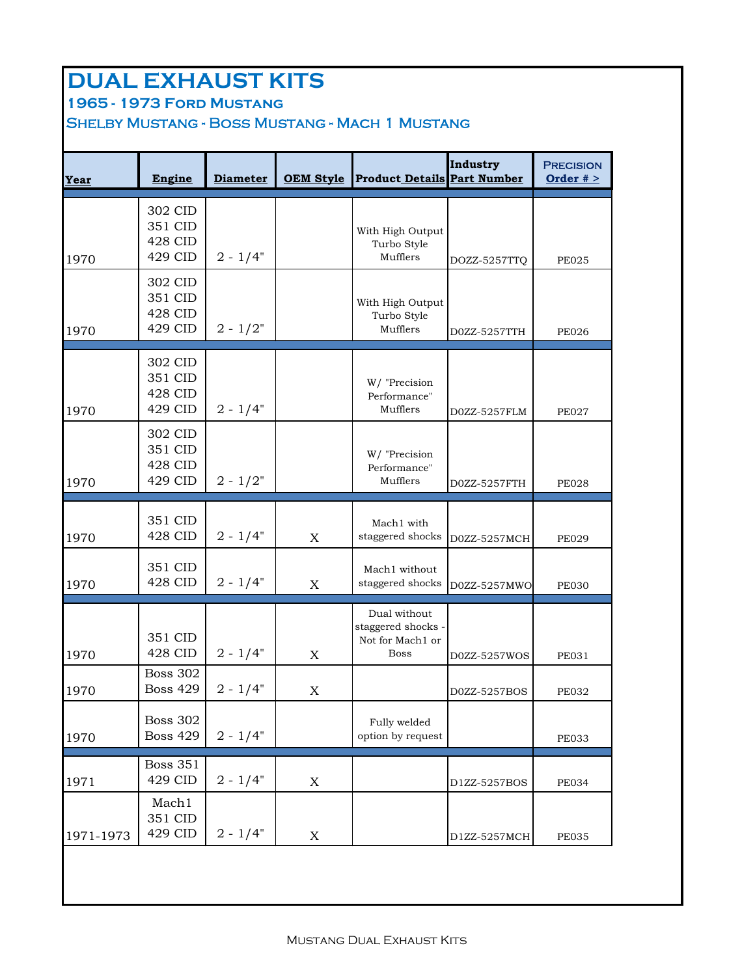# **DUAL EXHAUST KITS**

**1965 - 1973 Ford Mustang** 

Shelby Mustang - Boss Mustang - Mach 1 Mustang

| Year      | Engine                                   | <b>Diameter</b> | <b>OEM Style</b> | <b>Product Details Part Number</b>                                    | Industry     | <b>PRECISION</b><br>Order $# >$ |
|-----------|------------------------------------------|-----------------|------------------|-----------------------------------------------------------------------|--------------|---------------------------------|
| 1970      | 302 CID<br>351 CID<br>428 CID<br>429 CID | $2 - 1/4"$      |                  | With High Output<br>Turbo Style<br>Mufflers                           | DOZZ-5257TTQ | <b>PE025</b>                    |
| 1970      | 302 CID<br>351 CID<br>428 CID<br>429 CID | $2 - 1/2"$      |                  | With High Output<br>Turbo Style<br>Mufflers                           | D0ZZ-5257TTH | <b>PE026</b>                    |
| 1970      | 302 CID<br>351 CID<br>428 CID<br>429 CID | $2 - 1/4"$      |                  | W/ "Precision<br>Performance"<br>Mufflers                             | D0ZZ-5257FLM | <b>PE027</b>                    |
| 1970      | 302 CID<br>351 CID<br>428 CID<br>429 CID | $2 - 1/2"$      |                  | W/ "Precision<br>Performance"<br>Mufflers                             | D0ZZ-5257FTH | <b>PE028</b>                    |
| 1970      | 351 CID<br>428 CID                       | $2 - 1/4"$      | $\mathbf X$      | Mach1 with<br>staggered shocks                                        | D0ZZ-5257MCH | <b>PE029</b>                    |
| 1970      | 351 CID<br>428 CID                       | $2 - 1/4"$      | X                | Mach1 without<br>staggered shocks                                     | D0ZZ-5257MWO | <b>PE030</b>                    |
| 1970      | 351 CID<br>428 CID                       | $2 - 1/4"$      | X                | Dual without<br>staggered shocks -<br>Not for Mach1 or<br><b>Boss</b> | D0ZZ-5257WOS | <b>PE031</b>                    |
| 1970      | <b>Boss 302</b><br><b>Boss 429</b>       | $2 - 1/4"$      | $\mathbf X$      |                                                                       | D0ZZ-5257BOS | <b>PE032</b>                    |
| 1970      | <b>Boss 302</b><br><b>Boss 429</b>       | $2 - 1/4"$      |                  | Fully welded<br>option by request                                     |              | <b>PE033</b>                    |
| 1971      | <b>Boss 351</b><br>429 CID               | $2 - 1/4"$      | $\mathbf X$      |                                                                       | D1ZZ-5257BOS | <b>PE034</b>                    |
| 1971-1973 | Mach1<br>351 CID<br>429 CID              | $2 - 1/4"$      | X                |                                                                       | D1ZZ-5257MCH | <b>PE035</b>                    |